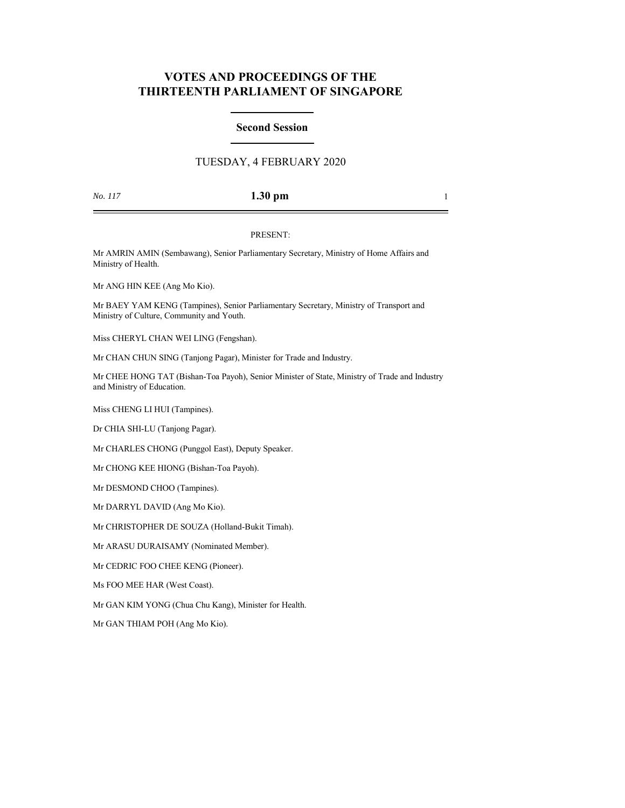# **VOTES AND PROCEEDINGS OF THE THIRTEENTH PARLIAMENT OF SINGAPORE**

# **Second Session**

# TUESDAY, 4 FEBRUARY 2020

## *No. 117* **1.30 pm** 1

## PRESENT:

Mr AMRIN AMIN (Sembawang), Senior Parliamentary Secretary, Ministry of Home Affairs and Ministry of Health.

Mr ANG HIN KEE (Ang Mo Kio).

Mr BAEY YAM KENG (Tampines), Senior Parliamentary Secretary, Ministry of Transport and Ministry of Culture, Community and Youth.

Miss CHERYL CHAN WEI LING (Fengshan).

Mr CHAN CHUN SING (Tanjong Pagar), Minister for Trade and Industry.

Mr CHEE HONG TAT (Bishan-Toa Payoh), Senior Minister of State, Ministry of Trade and Industry and Ministry of Education.

Miss CHENG LI HUI (Tampines).

Dr CHIA SHI-LU (Tanjong Pagar).

Mr CHARLES CHONG (Punggol East), Deputy Speaker.

Mr CHONG KEE HIONG (Bishan-Toa Payoh).

Mr DESMOND CHOO (Tampines).

Mr DARRYL DAVID (Ang Mo Kio).

Mr CHRISTOPHER DE SOUZA (Holland-Bukit Timah).

Mr ARASU DURAISAMY (Nominated Member).

Mr CEDRIC FOO CHEE KENG (Pioneer).

Ms FOO MEE HAR (West Coast).

Mr GAN KIM YONG (Chua Chu Kang), Minister for Health.

Mr GAN THIAM POH (Ang Mo Kio).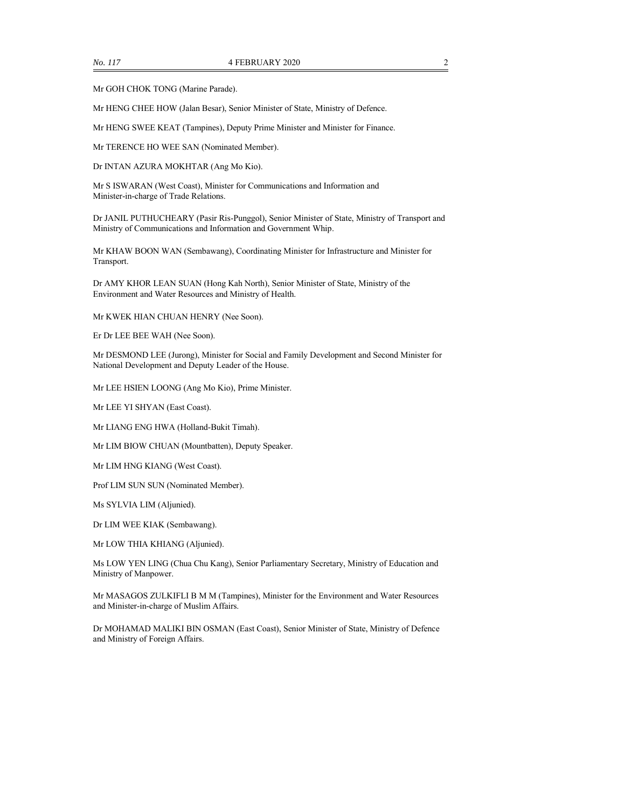Mr GOH CHOK TONG (Marine Parade).

Mr HENG CHEE HOW (Jalan Besar), Senior Minister of State, Ministry of Defence.

Mr HENG SWEE KEAT (Tampines), Deputy Prime Minister and Minister for Finance.

Mr TERENCE HO WEE SAN (Nominated Member).

Dr INTAN AZURA MOKHTAR (Ang Mo Kio).

Mr S ISWARAN (West Coast), Minister for Communications and Information and Minister-in-charge of Trade Relations.

Dr JANIL PUTHUCHEARY (Pasir Ris-Punggol), Senior Minister of State, Ministry of Transport and Ministry of Communications and Information and Government Whip.

Mr KHAW BOON WAN (Sembawang), Coordinating Minister for Infrastructure and Minister for Transport.

Dr AMY KHOR LEAN SUAN (Hong Kah North), Senior Minister of State, Ministry of the Environment and Water Resources and Ministry of Health.

Mr KWEK HIAN CHUAN HENRY (Nee Soon).

Er Dr LEE BEE WAH (Nee Soon).

Mr DESMOND LEE (Jurong), Minister for Social and Family Development and Second Minister for National Development and Deputy Leader of the House.

Mr LEE HSIEN LOONG (Ang Mo Kio), Prime Minister.

Mr LEE YI SHYAN (East Coast).

Mr LIANG ENG HWA (Holland-Bukit Timah).

Mr LIM BIOW CHUAN (Mountbatten), Deputy Speaker.

Mr LIM HNG KIANG (West Coast).

Prof LIM SUN SUN (Nominated Member).

Ms SYLVIA LIM (Aljunied).

Dr LIM WEE KIAK (Sembawang).

Mr LOW THIA KHIANG (Aljunied).

Ms LOW YEN LING (Chua Chu Kang), Senior Parliamentary Secretary, Ministry of Education and Ministry of Manpower.

Mr MASAGOS ZULKIFLI B M M (Tampines), Minister for the Environment and Water Resources and Minister-in-charge of Muslim Affairs.

Dr MOHAMAD MALIKI BIN OSMAN (East Coast), Senior Minister of State, Ministry of Defence and Ministry of Foreign Affairs.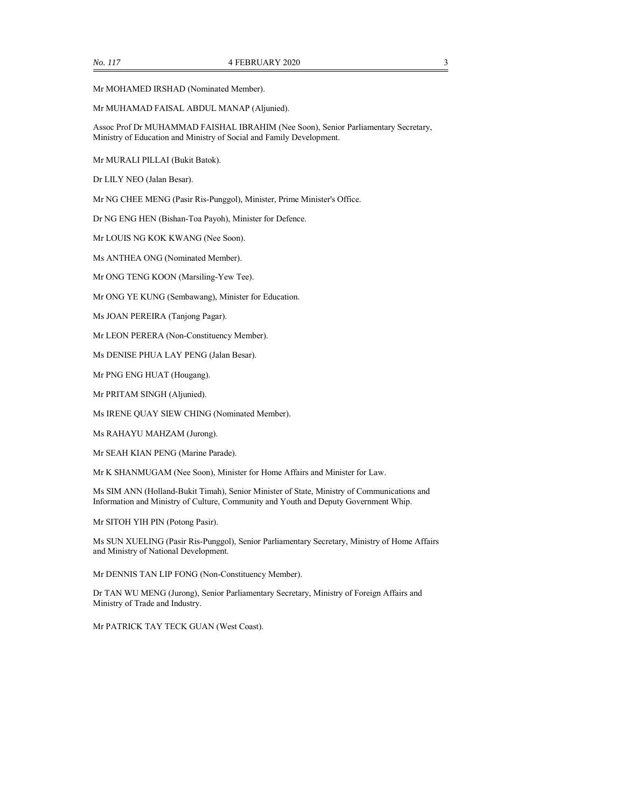### Mr MUHAMAD FAISAL ABDUL MANAP (Aljunied).

Assoc Prof Dr MUHAMMAD FAISHAL IBRAHIM (Nee Soon), Senior Parliamentary Secretary, Ministry of Education and Ministry of Social and Family Development.

Mr MURALI PILLAI (Bukit Batok).

Dr LILY NEO (Jalan Besar).

Mr NG CHEE MENG (Pasir Ris-Punggol), Minister, Prime Minister's Office.

Dr NG ENG HEN (Bishan-Toa Payoh), Minister for Defence.

Mr LOUIS NG KOK KWANG (Nee Soon).

Ms ANTHEA ONG (Nominated Member).

Mr ONG TENG KOON (Marsiling-Yew Tee).

Mr ONG YE KUNG (Sembawang), Minister for Education.

Ms JOAN PEREIRA (Tanjong Pagar).

Mr LEON PERERA (Non-Constituency Member).

Ms DENISE PHUA LAY PENG (Jalan Besar).

Mr PNG ENG HUAT (Hougang).

Mr PRITAM SINGH (Aljunied).

Ms IRENE QUAY SIEW CHING (Nominated Member).

Ms RAHAYU MAHZAM (Jurong).

Mr SEAH KIAN PENG (Marine Parade).

Mr K SHANMUGAM (Nee Soon), Minister for Home Affairs and Minister for Law.

Ms SIM ANN (Holland-Bukit Timah), Senior Minister of State, Ministry of Communications and Information and Ministry of Culture, Community and Youth and Deputy Government Whip.

Mr SITOH YIH PIN (Potong Pasir).

Ms SUN XUELING (Pasir Ris-Punggol), Senior Parliamentary Secretary, Ministry of Home Affairs and Ministry of National Development.

Mr DENNIS TAN LIP FONG (Non-Constituency Member).

Dr TAN WU MENG (Jurong), Senior Parliamentary Secretary, Ministry of Foreign Affairs and Ministry of Trade and Industry.

Mr PATRICK TAY TECK GUAN (West Coast).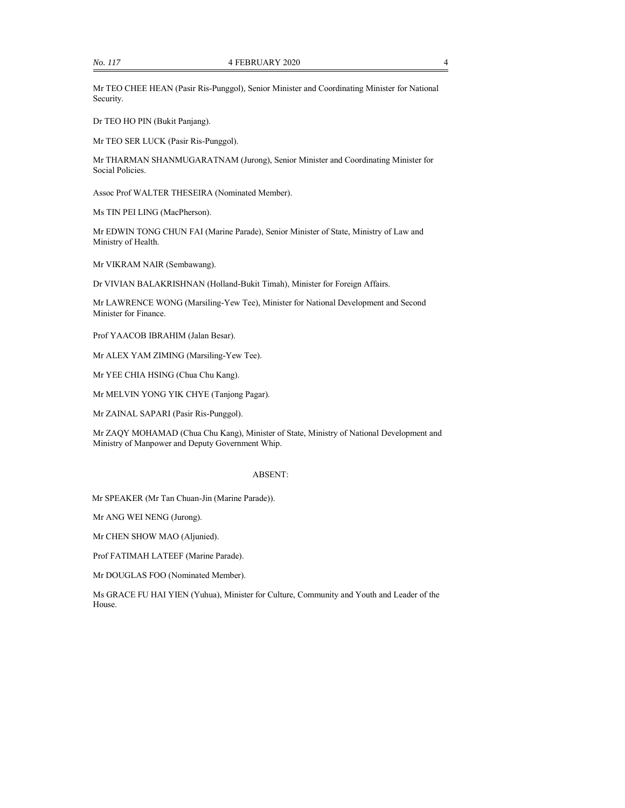Mr TEO CHEE HEAN (Pasir Ris-Punggol), Senior Minister and Coordinating Minister for National Security.

Dr TEO HO PIN (Bukit Panjang).

Mr TEO SER LUCK (Pasir Ris-Punggol).

Mr THARMAN SHANMUGARATNAM (Jurong), Senior Minister and Coordinating Minister for Social Policies.

Assoc Prof WALTER THESEIRA (Nominated Member).

Ms TIN PEI LING (MacPherson).

Mr EDWIN TONG CHUN FAI (Marine Parade), Senior Minister of State, Ministry of Law and Ministry of Health.

Mr VIKRAM NAIR (Sembawang).

Dr VIVIAN BALAKRISHNAN (Holland-Bukit Timah), Minister for Foreign Affairs.

Mr LAWRENCE WONG (Marsiling-Yew Tee), Minister for National Development and Second Minister for Finance.

Prof YAACOB IBRAHIM (Jalan Besar).

Mr ALEX YAM ZIMING (Marsiling-Yew Tee).

Mr YEE CHIA HSING (Chua Chu Kang).

Mr MELVIN YONG YIK CHYE (Tanjong Pagar).

Mr ZAINAL SAPARI (Pasir Ris-Punggol).

Mr ZAQY MOHAMAD (Chua Chu Kang), Minister of State, Ministry of National Development and Ministry of Manpower and Deputy Government Whip.

#### ABSENT:

Mr SPEAKER (Mr Tan Chuan-Jin (Marine Parade)).

Mr ANG WEI NENG (Jurong).

Mr CHEN SHOW MAO (Aljunied).

Prof FATIMAH LATEEF (Marine Parade).

Mr DOUGLAS FOO (Nominated Member).

Ms GRACE FU HAI YIEN (Yuhua), Minister for Culture, Community and Youth and Leader of the House.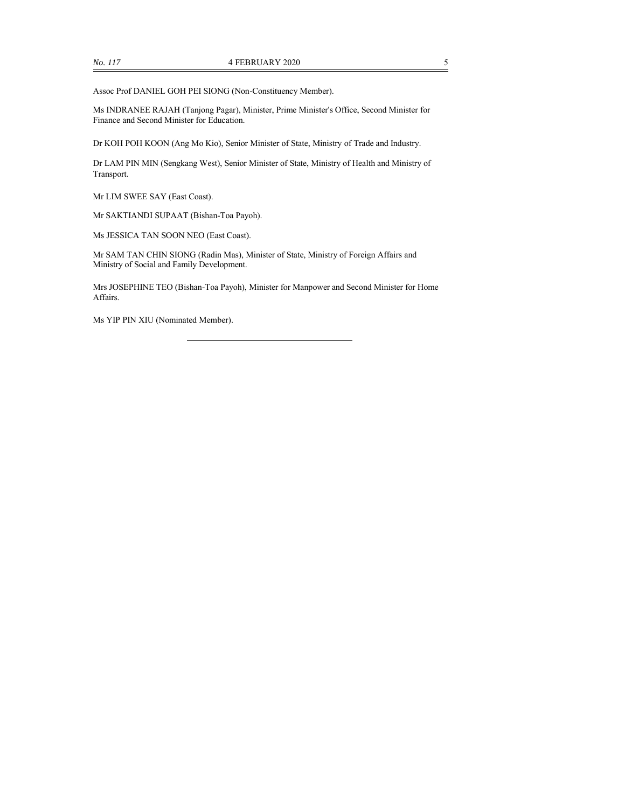Assoc Prof DANIEL GOH PEI SIONG (Non-Constituency Member).

Ms INDRANEE RAJAH (Tanjong Pagar), Minister, Prime Minister's Office, Second Minister for Finance and Second Minister for Education.

Dr KOH POH KOON (Ang Mo Kio), Senior Minister of State, Ministry of Trade and Industry.

Dr LAM PIN MIN (Sengkang West), Senior Minister of State, Ministry of Health and Ministry of Transport.

Mr LIM SWEE SAY (East Coast).

Mr SAKTIANDI SUPAAT (Bishan-Toa Payoh).

Ms JESSICA TAN SOON NEO (East Coast).

Mr SAM TAN CHIN SIONG (Radin Mas), Minister of State, Ministry of Foreign Affairs and Ministry of Social and Family Development.

Mrs JOSEPHINE TEO (Bishan-Toa Payoh), Minister for Manpower and Second Minister for Home Affairs.

Ms YIP PIN XIU (Nominated Member).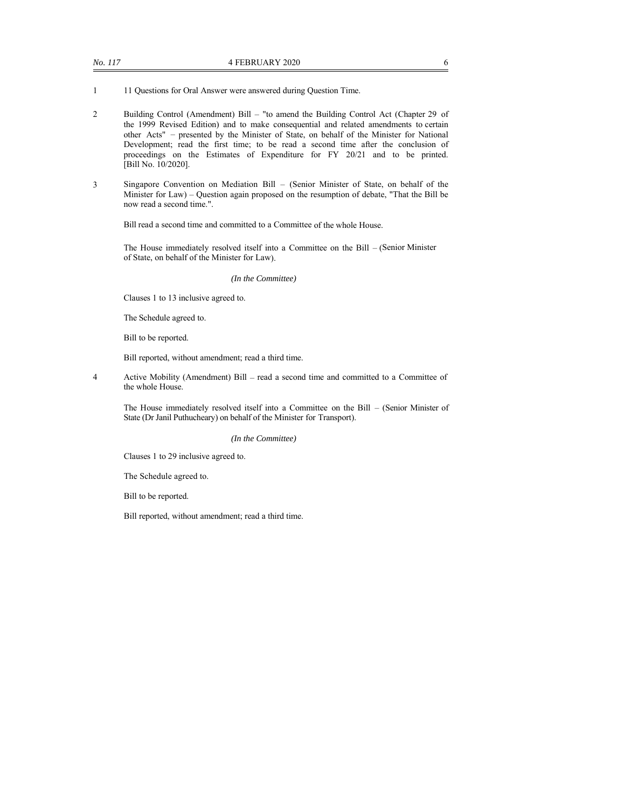1 11 Questions for Oral Answer were answered during Question Time.

- 2 Building Control (Amendment) Bill "to amend the Building Control Act (Chapter 29 of the 1999 Revised Edition) and to make consequential and related amendments to certain other Acts" – presented by the Minister of State, on behalf of the Minister for National Development; read the first time; to be read a second time after the conclusion of proceedings on the Estimates of Expenditure for FY 20/21 and to be printed. [Bill No. 10/2020].
- 3 Singapore Convention on Mediation Bill (Senior Minister of State, on behalf of the Minister for Law) – Question again proposed on the resumption of debate, "That the Bill be now read a second time.".

Bill read a second time and committed to a Committee of the whole House.

The House immediately resolved itself into a Committee on the Bill – (Senior Minister of State, on behalf of the Minister for Law).

#### *(In the Committee)*

Clauses 1 to 13 inclusive agreed to.

The Schedule agreed to.

Bill to be reported.

Bill reported, without amendment; read a third time.

4 Active Mobility (Amendment) Bill – read a second time and committed to a Committee of the whole House.

The House immediately resolved itself into a Committee on the Bill – (Senior Minister of State (Dr Janil Puthucheary) on behalf of the Minister for Transport).

#### *(In the Committee)*

Clauses 1 to 29 inclusive agreed to.

The Schedule agreed to.

Bill to be reported.

Bill reported, without amendment; read a third time.